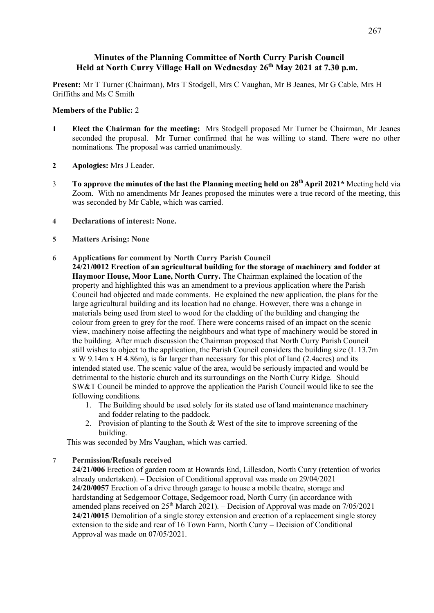## **Minutes of the Planning Committee of North Curry Parish Council Held at North Curry Village Hall on Wednesday 26th May 2021 at 7.30 p.m.**

**Present:** Mr T Turner (Chairman), Mrs T Stodgell, Mrs C Vaughan, Mr B Jeanes, Mr G Cable, Mrs H Griffiths and Ms C Smith

## **Members of the Public:** 2

- **1 Elect the Chairman for the meeting:** Mrs Stodgell proposed Mr Turner be Chairman, Mr Jeanes seconded the proposal. Mr Turner confirmed that he was willing to stand. There were no other nominations. The proposal was carried unanimously.
- **2 Apologies:** Mrs J Leader.
- 3 **To approve the minutes of the last the Planning meeting held on 28th April 2021\*** Meeting held via Zoom. With no amendments Mr Jeanes proposed the minutes were a true record of the meeting, this was seconded by Mr Cable, which was carried.
- **4 Declarations of interest: None.**
- **5 Matters Arising: None**
- **6 Applications for comment by North Curry Parish Council**
	- **24/21/0012 Erection of an agricultural building for the storage of machinery and fodder at Haymoor House, Moor Lane, North Curry.** The Chairman explained the location of the property and highlighted this was an amendment to a previous application where the Parish Council had objected and made comments. He explained the new application, the plans for the large agricultural building and its location had no change. However, there was a change in materials being used from steel to wood for the cladding of the building and changing the colour from green to grey for the roof. There were concerns raised of an impact on the scenic view, machinery noise affecting the neighbours and what type of machinery would be stored in the building. After much discussion the Chairman proposed that North Curry Parish Council still wishes to object to the application, the Parish Council considers the building size (L 13.7m x W 9.14m x H 4.86m), is far larger than necessary for this plot of land (2.4acres) and its intended stated use. The scenic value of the area, would be seriously impacted and would be detrimental to the historic church and its surroundings on the North Curry Ridge. Should SW&T Council be minded to approve the application the Parish Council would like to see the following conditions.
		- 1. The Building should be used solely for its stated use of land maintenance machinery and fodder relating to the paddock.
		- 2. Provision of planting to the South & West of the site to improve screening of the building.

This was seconded by Mrs Vaughan, which was carried.

## **7 Permission/Refusals received**

**24/21/006** Erection of garden room at Howards End, Lillesdon, North Curry (retention of works already undertaken). – Decision of Conditional approval was made on 29/04/2021 **24/20/0057** Erection of a drive through garage to house a mobile theatre, storage and hardstanding at Sedgemoor Cottage, Sedgemoor road, North Curry (in accordance with amended plans received on  $25<sup>th</sup>$  March 2021). – Decision of Approval was made on  $7/05/2021$ **24/21/0015** Demolition of a single storey extension and erection of a replacement single storey extension to the side and rear of 16 Town Farm, North Curry – Decision of Conditional Approval was made on 07/05/2021.